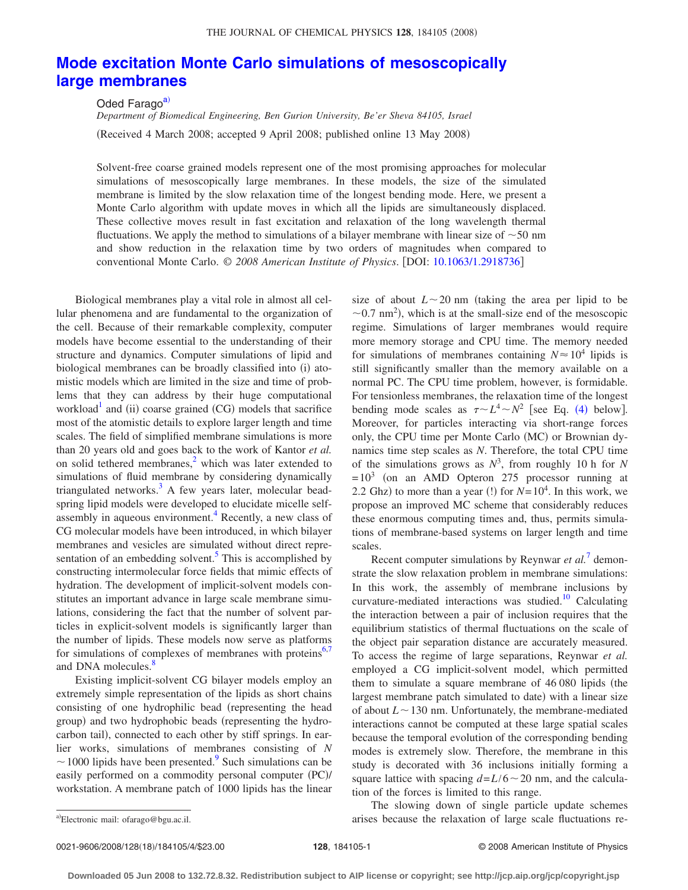## **[Mode excitation Monte Carlo simulations of mesoscopically](http://dx.doi.org/10.1063/1.2918736) [large membranes](http://dx.doi.org/10.1063/1.2918736)**

Oded Farago<sup>a)</sup>

*Department of Biomedical Engineering, Ben Gurion University, Be'er Sheva 84105, Israel* (Received 4 March 2008; accepted 9 April 2008; published online 13 May 2008)

Solvent-free coarse grained models represent one of the most promising approaches for molecular simulations of mesoscopically large membranes. In these models, the size of the simulated membrane is limited by the slow relaxation time of the longest bending mode. Here, we present a Monte Carlo algorithm with update moves in which all the lipids are simultaneously displaced. These collective moves result in fast excitation and relaxation of the long wavelength thermal fluctuations. We apply the method to simulations of a bilayer membrane with linear size of  $\sim$  50 nm and show reduction in the relaxation time by two orders of magnitudes when compared to conventional Monte Carlo. © *2008 American Institute of Physics*. DOI: [10.1063/1.2918736](http://dx.doi.org/10.1063/1.2918736)

Biological membranes play a vital role in almost all cellular phenomena and are fundamental to the organization of the cell. Because of their remarkable complexity, computer models have become essential to the understanding of their structure and dynamics. Computer simulations of lipid and biological membranes can be broadly classified into (i) atomistic models which are limited in the size and time of problems that they can address by their huge computational workload<sup>1</sup> and (ii) coarse grained (CG) models that sacrifice most of the atomistic details to explore larger length and time scales. The field of simplified membrane simulations is more than 20 years old and goes back to the work of Kantor *et al.* on solid tethered membranes,<sup>2</sup> which was later extended to simulations of fluid membrane by considering dynamically triangulated networks. $3$  A few years later, molecular beadspring lipid models were developed to elucidate micelle selfassembly in aqueous environment.<sup>4</sup> Recently, a new class of CG molecular models have been introduced, in which bilayer membranes and vesicles are simulated without direct representation of an embedding solvent.<sup>5</sup> This is accomplished by constructing intermolecular force fields that mimic effects of hydration. The development of implicit-solvent models constitutes an important advance in large scale membrane simulations, considering the fact that the number of solvent particles in explicit-solvent models is significantly larger than the number of lipids. These models now serve as platforms for simulations of complexes of membranes with proteins $6,7$  $6,7$ and DNA molecules.<sup>8</sup>

Existing implicit-solvent CG bilayer models employ an extremely simple representation of the lipids as short chains consisting of one hydrophilic bead (representing the head group) and two hydrophobic beads (representing the hydrocarbon tail), connected to each other by stiff springs. In earlier works, simulations of membranes consisting of *N*  $\sim$  1000 lipids have been presented.<sup>9</sup> Such simulations can be easily performed on a commodity personal computer (PC)/ workstation. A membrane patch of 1000 lipids has the linear size of about  $L \sim 20$  nm (taking the area per lipid to be  $\sim$ 0.7 nm<sup>2</sup>), which is at the small-size end of the mesoscopic regime. Simulations of larger membranes would require more memory storage and CPU time. The memory needed for simulations of membranes containing  $N \approx 10^4$  lipids is still significantly smaller than the memory available on a normal PC. The CPU time problem, however, is formidable. For tensionless membranes, the relaxation time of the longest bending mode scales as  $\tau \sim L^4 \sim N^2$  $\tau \sim L^4 \sim N^2$  $\tau \sim L^4 \sim N^2$  [see Eq. (4) below]. Moreover, for particles interacting via short-range forces only, the CPU time per Monte Carlo (MC) or Brownian dynamics time step scales as *N*. Therefore, the total CPU time of the simulations grows as  $N^3$ , from roughly 10 h for N  $= 10<sup>3</sup>$  (on an AMD Opteron 275 processor running at 2.2 Ghz) to more than a year (!) for  $N=10^4$ . In this work, we propose an improved MC scheme that considerably reduces these enormous computing times and, thus, permits simulations of membrane-based systems on larger length and time scales.

Recent computer simulations by Reynwar *et al.*[7](#page-3-6) demonstrate the slow relaxation problem in membrane simulations: In this work, the assembly of membrane inclusions by curvature-mediated interactions was studied.<sup>10</sup> Calculating the interaction between a pair of inclusion requires that the equilibrium statistics of thermal fluctuations on the scale of the object pair separation distance are accurately measured. To access the regime of large separations, Reynwar *et al.* employed a CG implicit-solvent model, which permitted them to simulate a square membrane of  $46\,080$  lipids (the largest membrane patch simulated to date) with a linear size of about  $L \sim 130$  nm. Unfortunately, the membrane-mediated interactions cannot be computed at these large spatial scales because the temporal evolution of the corresponding bending modes is extremely slow. Therefore, the membrane in this study is decorated with 36 inclusions initially forming a square lattice with spacing  $d = L/6 \sim 20$  nm, and the calculation of the forces is limited to this range.

The slowing down of single particle update schemes arises because the relaxation of large scale fluctuations re-

<span id="page-0-0"></span>Electronic mail: ofarago@bgu.ac.il.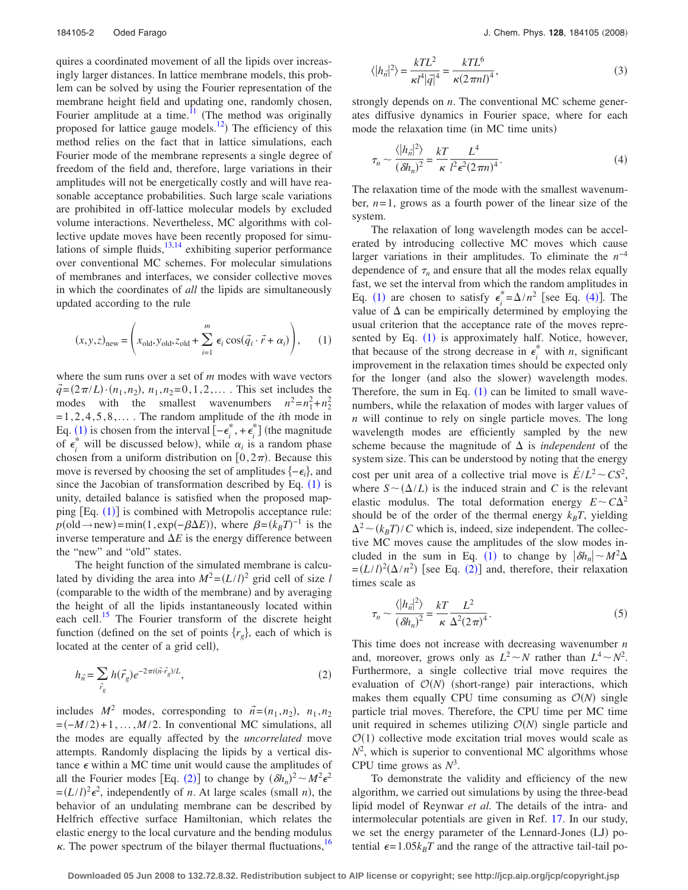quires a coordinated movement of all the lipids over increasingly larger distances. In lattice membrane models, this problem can be solved by using the Fourier representation of the membrane height field and updating one, randomly chosen, Fourier amplitude at a time.<sup>11</sup> (The method was originally proposed for lattice gauge models.<sup>12</sup>) The efficiency of this method relies on the fact that in lattice simulations, each Fourier mode of the membrane represents a single degree of freedom of the field and, therefore, large variations in their amplitudes will not be energetically costly and will have reasonable acceptance probabilities. Such large scale variations are prohibited in off-lattice molecular models by excluded volume interactions. Nevertheless, MC algorithms with collective update moves have been recently proposed for simulations of simple fluids, $13,14$  $13,14$  exhibiting superior performance over conventional MC schemes. For molecular simulations of membranes and interfaces, we consider collective moves in which the coordinates of *all* the lipids are simultaneously updated according to the rule

<span id="page-1-1"></span>
$$
(x, y, z)_{\text{new}} = \left(x_{\text{old}}, y_{\text{old}}, z_{\text{old}} + \sum_{i=1}^{m} \epsilon_i \cos(\vec{q}_i \cdot \vec{r} + \alpha_i)\right), \quad (1)
$$

where the sum runs over a set of *m* modes with wave vectors  $\vec{q} = (2\pi/L) \cdot (n_1, n_2), n_1, n_2 = 0, 1, 2, \dots$ . This set includes the modes with the smallest wavenumbers  $n^2 = n_1^2 + n_2^2$ = 1, 2, 4, 5, 8,... . The random amplitude of the *i*th mode in Eq. ([1](#page-1-1)) is chosen from the interval  $[-\epsilon_i^* + \epsilon_i^*]$  (the magnitude of  $\epsilon_i^*$  will be discussed below), while  $\alpha_i$  is a random phase chosen from a uniform distribution on  $[0, 2\pi)$ . Because this move is reversed by choosing the set of amplitudes  $\{-\epsilon_i\}$ , and since the Jacobian of transformation described by Eq.  $(1)$  $(1)$  $(1)$  is unity, detailed balance is satisfied when the proposed map-ping [Eq. ([1](#page-1-1))] is combined with Metropolis acceptance rule:  $p(\text{old} \rightarrow \text{new}) = \min(1, \exp(-\beta \Delta E)), \text{ where } \beta = (k_B T)^{-1} \text{ is the }$ inverse temperature and  $\Delta E$  is the energy difference between the "new" and "old" states.

The height function of the simulated membrane is calculated by dividing the area into  $M^2 = (L/l)^2$  grid cell of size *l* (comparable to the width of the membrane) and by averaging the height of all the lipids instantaneously located within each cell.<sup>15</sup> The Fourier transform of the discrete height function (defined on the set of points  $\{r_g\}$ , each of which is located at the center of a grid cell),

<span id="page-1-2"></span>
$$
h_{\vec{n}} = \sum_{\vec{r}_g} h(\vec{r}_g) e^{-2\pi i (\vec{n} \cdot \vec{r}_g)/L},\tag{2}
$$

includes  $M^2$  modes, corresponding to  $\vec{n} = (n_1, n_2), n_1, n_2$  $=(-M/2)+1, \ldots, M/2$ . In conventional MC simulations, all the modes are equally affected by the *uncorrelated* move attempts. Randomly displacing the lipids by a vertical distance  $\epsilon$  within a MC time unit would cause the amplitudes of all the Fourier modes [Eq. ([2](#page-1-2))] to change by  $(\delta h_n)^2 \sim M^2 \epsilon^2$  $=(L/l)^2 \epsilon^2$ , independently of *n*. At large scales (small *n*), the behavior of an undulating membrane can be described by Helfrich effective surface Hamiltonian, which relates the elastic energy to the local curvature and the bending modulus  $\kappa$ . The power spectrum of the bilayer thermal fluctuations, <sup>16</sup>

<span id="page-1-3"></span>
$$
\langle |h_{\vec{n}}|^2 \rangle = \frac{kTL^2}{\kappa l^4 |\vec{q}|^4} = \frac{kTL^6}{\kappa (2\pi n l)^4},\tag{3}
$$

strongly depends on *n*. The conventional MC scheme generates diffusive dynamics in Fourier space, where for each mode the relaxation time (in MC time units)

<span id="page-1-0"></span>
$$
\tau_n \sim \frac{\langle |h_n|^2 \rangle}{(\delta h_n)^2} = \frac{kT}{\kappa} \frac{L^4}{l^2 \epsilon^2 (2\pi n)^4}.
$$
\n(4)

The relaxation time of the mode with the smallest wavenumber, *n*= 1, grows as a fourth power of the linear size of the system.

The relaxation of long wavelength modes can be accelerated by introducing collective MC moves which cause larger variations in their amplitudes. To eliminate the *n*−4 dependence of  $\tau_n$  and ensure that all the modes relax equally fast, we set the interval from which the random amplitudes in Eq. ([1](#page-1-1)) are chosen to satisfy  $\epsilon_i^* = \Delta/n^2$  [see Eq. ([4](#page-1-0))]. The value of  $\Delta$  can be empirically determined by employing the usual criterion that the acceptance rate of the moves represented by Eq.  $(1)$  $(1)$  $(1)$  is approximately half. Notice, however, that because of the strong decrease in  $\epsilon_i^*$  with *n*, significant improvement in the relaxation times should be expected only for the longer (and also the slower) wavelength modes. Therefore, the sum in Eq.  $(1)$  $(1)$  $(1)$  can be limited to small wavenumbers, while the relaxation of modes with larger values of *n* will continue to rely on single particle moves. The long wavelength modes are efficiently sampled by the new scheme because the magnitude of  $\Delta$  is *independent* of the system size. This can be understood by noting that the energy cost per unit area of a collective trial move is  $\vec{E}/L^2 \sim CS^2$ , where  $S \sim (\Delta/L)$  is the induced strain and *C* is the relevant elastic modulus. The total deformation energy  $E \sim C\Delta^2$ should be of the order of the thermal energy  $k_B T$ , yielding  $\Delta^2 \sim (k_B T) / C$  which is, indeed, size independent. The collective MC moves cause the amplitudes of the slow modes in-cluded in the sum in Eq. ([1](#page-1-1)) to change by  $|\delta h_n| \sim M^2 \Delta$  $=(L/l)^2(\Delta/n^2)$  $=(L/l)^2(\Delta/n^2)$  $=(L/l)^2(\Delta/n^2)$  [see Eq. (2)] and, therefore, their relaxation times scale as

<span id="page-1-4"></span>
$$
\tau_n \sim \frac{\langle |h_n|^2 \rangle}{(\delta h_n)^2} = \frac{kT}{\kappa} \frac{L^2}{\Delta^2 (2\pi)^4}.
$$
\n(5)

This time does not increase with decreasing wavenumber *n* and, moreover, grows only as  $L^2 \sim N$  rather than  $L^4 \sim N^2$ . Furthermore, a single collective trial move requires the evaluation of  $O(N)$  (short-range) pair interactions, which makes them equally CPU time consuming as  $O(N)$  single particle trial moves. Therefore, the CPU time per MC time unit required in schemes utilizing  $O(N)$  single particle and  $\mathcal{O}(1)$  collective mode excitation trial moves would scale as  $N^2$ , which is superior to conventional MC algorithms whose CPU time grows as  $N^3$ .

To demonstrate the validity and efficiency of the new algorithm, we carried out simulations by using the three-bead lipid model of Reynwar *et al.* The details of the intra- and intermolecular potentials are given in Ref. [17.](#page-3-16) In our study, we set the energy parameter of the Lennard-Jones (LJ) potential  $\epsilon = 1.05k_BT$  and the range of the attractive tail-tail po-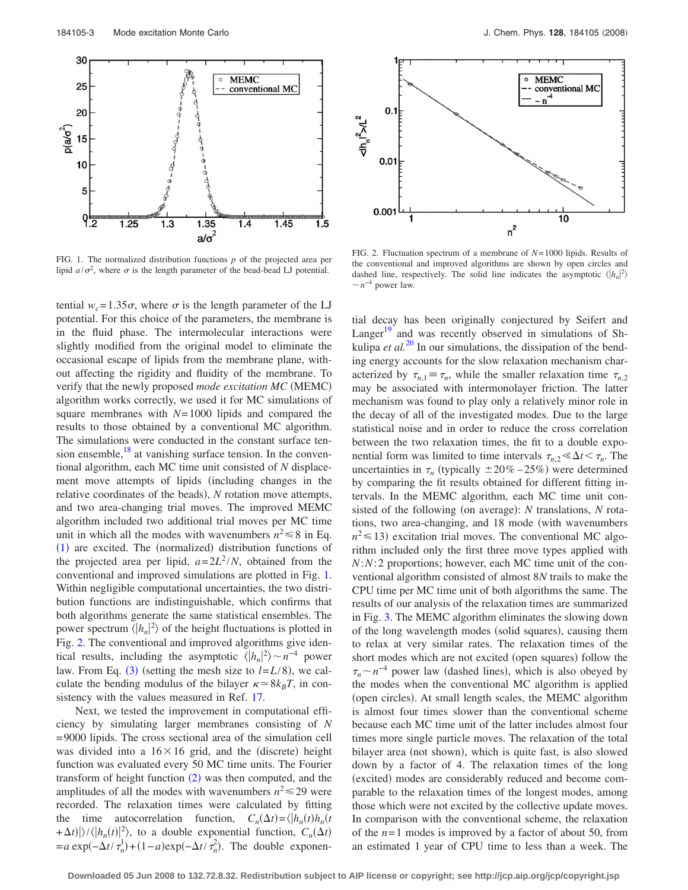<span id="page-2-0"></span>

FIG. 1. The normalized distribution functions *p* of the projected area per lipid  $a/\sigma^2$ , where  $\sigma$  is the length parameter of the bead-bead LJ potential.

tential  $w_c = 1.35\sigma$ , where  $\sigma$  is the length parameter of the LJ potential. For this choice of the parameters, the membrane is in the fluid phase. The intermolecular interactions were slightly modified from the original model to eliminate the occasional escape of lipids from the membrane plane, without affecting the rigidity and fluidity of the membrane. To verify that the newly proposed mode excitation MC (MEMC) algorithm works correctly, we used it for MC simulations of square membranes with *N*= 1000 lipids and compared the results to those obtained by a conventional MC algorithm. The simulations were conducted in the constant surface tension ensemble, $18$  at vanishing surface tension. In the conventional algorithm, each MC time unit consisted of *N* displacement move attempts of lipids (including changes in the relative coordinates of the beads), N rotation move attempts, and two area-changing trial moves. The improved MEMC algorithm included two additional trial moves per MC time unit in which all the modes with wavenumbers  $n^2 \le 8$  in Eq. ([1](#page-1-1)) are excited. The (normalized) distribution functions of the projected area per lipid,  $a=2L^2/N$ , obtained from the conventional and improved simulations are plotted in Fig. [1.](#page-2-0) Within negligible computational uncertainties, the two distribution functions are indistinguishable, which confirms that both algorithms generate the same statistical ensembles. The power spectrum  $\langle |h_n|^2 \rangle$  of the height fluctuations is plotted in Fig. [2.](#page-2-1) The conventional and improved algorithms give identical results, including the asymptotic  $\langle |h_n|^2 \rangle \sim n^{-4}$  power law. From Eq. ([3](#page-1-3)) (setting the mesh size to  $l = L/8$ ), we calculate the bending modulus of the bilayer  $\kappa \approx 8k_BT$ , in consistency with the values measured in Ref. [17.](#page-3-16)

Next, we tested the improvement in computational efficiency by simulating larger membranes consisting of *N* = 9000 lipids. The cross sectional area of the simulation cell was divided into a  $16 \times 16$  grid, and the (discrete) height function was evaluated every 50 MC time units. The Fourier transform of height function  $(2)$  $(2)$  $(2)$  was then computed, and the amplitudes of all the modes with wavenumbers  $n^2 \le 29$  were recorded. The relaxation times were calculated by fitting the time autocorrelation function,  $C_n(\Delta t) = \langle h_n(t)h_n(t) \rangle$  $+\Delta t$ / $\rangle$ / $\langle h_n(t)|^2$ , to a double exponential function,  $C_n(\Delta t)$  $= a \exp(-\Delta t / \tau_n^1) + (1 - a) \exp(-\Delta t / \tau_n^2)$ . The double exponen-

<span id="page-2-1"></span>

FIG. 2. Fluctuation spectrum of a membrane of *N*= 1000 lipids. Results of the conventional and improved algorithms are shown by open circles and dashed line, respectively. The solid line indicates the asymptotic  $\langle |h_n|^2 \rangle$  $\sim$   $n^{-4}$  power law.

tial decay has been originally conjectured by Seifert and Langer $19$  and was recently observed in simulations of Shkulipa *et al.*<sup>[20](#page-3-19)</sup> In our simulations, the dissipation of the bending energy accounts for the slow relaxation mechanism characterized by  $\tau_{n,1} \equiv \tau_n$ , while the smaller relaxation time  $\tau_{n,2}$ may be associated with intermonolayer friction. The latter mechanism was found to play only a relatively minor role in the decay of all of the investigated modes. Due to the large statistical noise and in order to reduce the cross correlation between the two relaxation times, the fit to a double exponential form was limited to time intervals  $\tau_{n,2} \leq \Delta t \leq \tau_n$ . The uncertainties in  $\tau_n$  (typically  $\pm 20\% - 25\%$ ) were determined by comparing the fit results obtained for different fitting intervals. In the MEMC algorithm, each MC time unit consisted of the following (on average): *N* translations, *N* rotations, two area-changing, and 18 mode (with wavenumbers  $n^2 \leq 13$ ) excitation trial moves. The conventional MC algorithm included only the first three move types applied with *N*:*N*: 2 proportions; however, each MC time unit of the conventional algorithm consisted of almost 8*N* trails to make the CPU time per MC time unit of both algorithms the same. The results of our analysis of the relaxation times are summarized in Fig. [3.](#page-3-20) The MEMC algorithm eliminates the slowing down of the long wavelength modes (solid squares), causing them to relax at very similar rates. The relaxation times of the short modes which are not excited (open squares) follow the  $\tau_n \sim n^{-4}$  power law (dashed lines), which is also obeyed by the modes when the conventional MC algorithm is applied (open circles). At small length scales, the MEMC algorithm is almost four times slower than the conventional scheme because each MC time unit of the latter includes almost four times more single particle moves. The relaxation of the total bilayer area (not shown), which is quite fast, is also slowed down by a factor of 4. The relaxation times of the long (excited) modes are considerably reduced and become comparable to the relaxation times of the longest modes, among those which were not excited by the collective update moves. In comparison with the conventional scheme, the relaxation of the  $n=1$  modes is improved by a factor of about 50, from an estimated 1 year of CPU time to less than a week. The